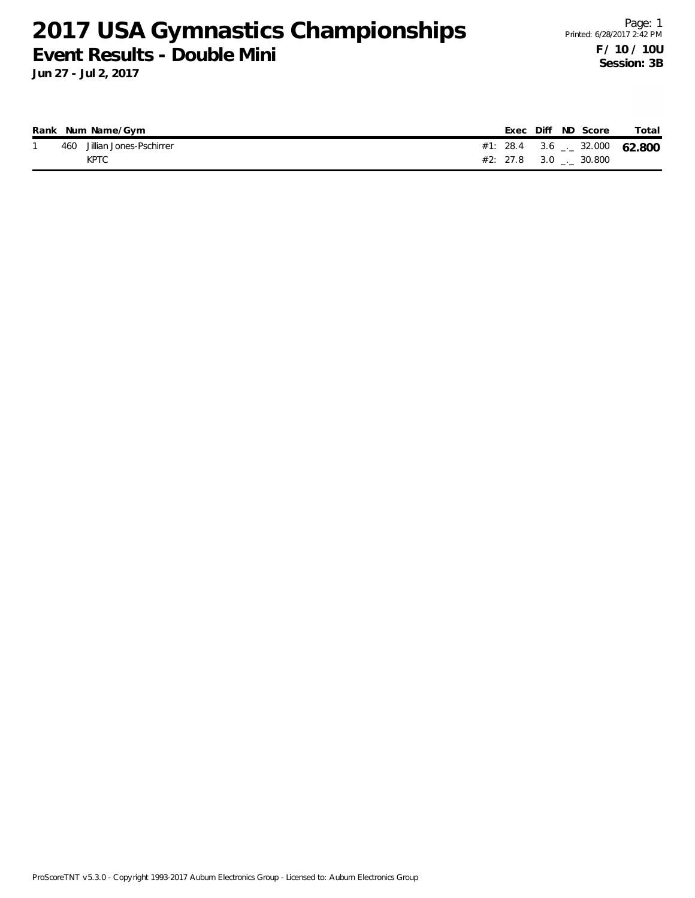**Jun 27 - Jul 2, 2017**

|     | Rank Num Name/Gym       |                                |  | Exec Diff ND Score | Total |
|-----|-------------------------|--------------------------------|--|--------------------|-------|
| 460 | Jillian Jones-Pschirrer | #1: 28.4 3.6 $-$ 32.000 62.800 |  |                    |       |
|     | KPTC                    | $#2: 27.8$ 3.0 . 30.800        |  |                    |       |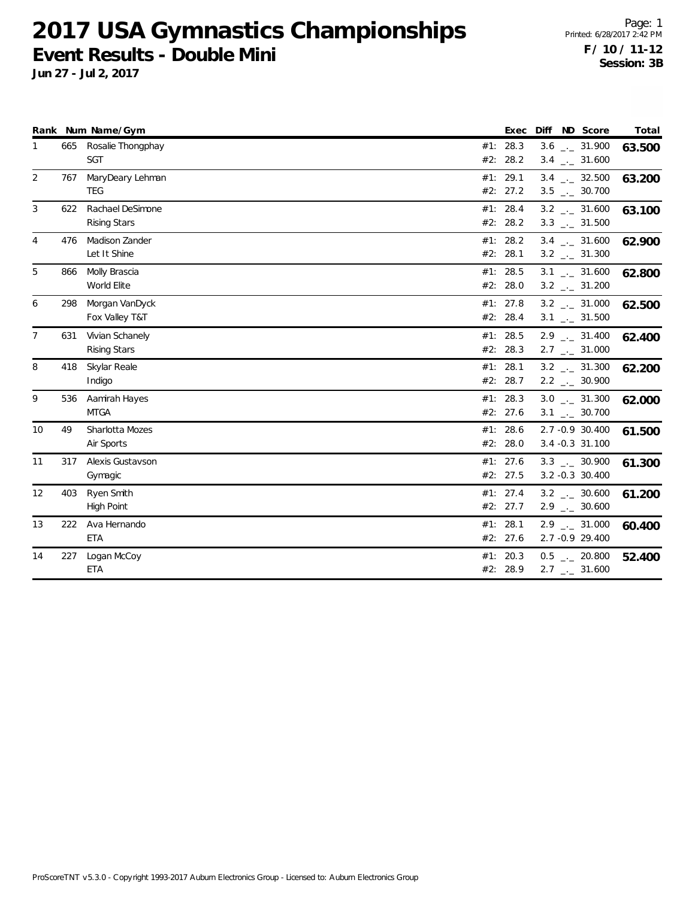**Jun 27 - Jul 2, 2017**

Page: 1 Printed: 6/28/2017 2:42 PM **F / 10 / 11-12 Session: 3B**

|                |     | Rank Num Name/Gym                       | Exec                 | Diff<br>ND Score                                               | Total  |
|----------------|-----|-----------------------------------------|----------------------|----------------------------------------------------------------|--------|
| 1              | 665 | Rosalie Thongphay<br>SGT                | #1: 28.3<br>#2: 28.2 | $3.6$ $_{-1}$ 31.900<br>$3.4$ $_{\leftarrow}$ 31.600           | 63.500 |
| 2              | 767 | MaryDeary Lehman<br><b>TEG</b>          | #1: 29.1<br>#2: 27.2 | $3.4$ $-2$ 32.500<br>$3.5$ $_{-}$ 30.700                       | 63.200 |
| 3              | 622 | Rachael DeSimone<br><b>Rising Stars</b> | #1: 28.4<br>#2: 28.2 | $3.2$ $_{\leftarrow -}$ 31.600<br>$3.3$ $_{\leftarrow}$ 31.500 | 63.100 |
| 4              | 476 | Madison Zander<br>Let It Shine          | #1: 28.2<br>#2: 28.1 | $3.4$ $_{\leftarrow}$ 31.600<br>$3.2$ $_{\leftarrow}$ 31.300   | 62.900 |
| 5              | 866 | Molly Brascia<br>World Elite            | #1: 28.5<br>#2: 28.0 | $3.1$ $_{-1}$ 31.600<br>$3.2$ _ 31.200                         | 62.800 |
| 6              | 298 | Morgan VanDyck<br>Fox Valley T&T        | #1: 27.8<br>#2: 28.4 | $3.2$ $_{\leftarrow}$ 31.000<br>$3.1$ $_{-1}$ 31.500           | 62.500 |
| $\overline{7}$ | 631 | Vivian Schanely<br><b>Rising Stars</b>  | #1: 28.5<br>#2: 28.3 | $2.9$ $_{\leftarrow}$ 31.400<br>$2.7$ $_{\leftarrow}$ 31.000   | 62.400 |
| 8              | 418 | Skylar Reale<br>Indigo                  | #1: 28.1<br>#2: 28.7 | $3.2$ $_{\leftarrow}$ 31.300<br>$2.2$ $_{\leftarrow}$ 30.900   | 62.200 |
| 9              | 536 | Aamirah Hayes<br><b>MTGA</b>            | #1: 28.3<br>#2: 27.6 | $3.0$ __ 31.300<br>$3.1$ $_{-1}$ 30.700                        | 62.000 |
| 10             | 49  | Sharlotta Mozes<br>Air Sports           | #1: 28.6<br>#2: 28.0 | 2.7 -0.9 30.400<br>3.4 -0.3 31.100                             | 61.500 |
| 11             | 317 | Alexis Gustavson<br>Gymagic             | #1: 27.6<br>#2: 27.5 | $3.3$ $_{\leftarrow}$ 30.900<br>3.2 -0.3 30.400                | 61.300 |
| 12             | 403 | Ryen Smith<br>High Point                | #1: 27.4<br>#2: 27.7 | $3.2$ $-.2$ 30.600<br>$2.9$ $_{\leftarrow}$ 30.600             | 61.200 |
| 13             | 222 | Ava Hernando<br><b>ETA</b>              | #1: 28.1<br>#2: 27.6 | $2.9$ $_{\leftarrow}$ 31.000<br>2.7 -0.9 29.400                | 60.400 |
| 14             | 227 | Logan McCoy<br><b>ETA</b>               | #1: 20.3<br>#2: 28.9 | $0.5$ $_{-}$ 20.800<br>$2.7$ $_{\leftarrow}$ 31.600            | 52.400 |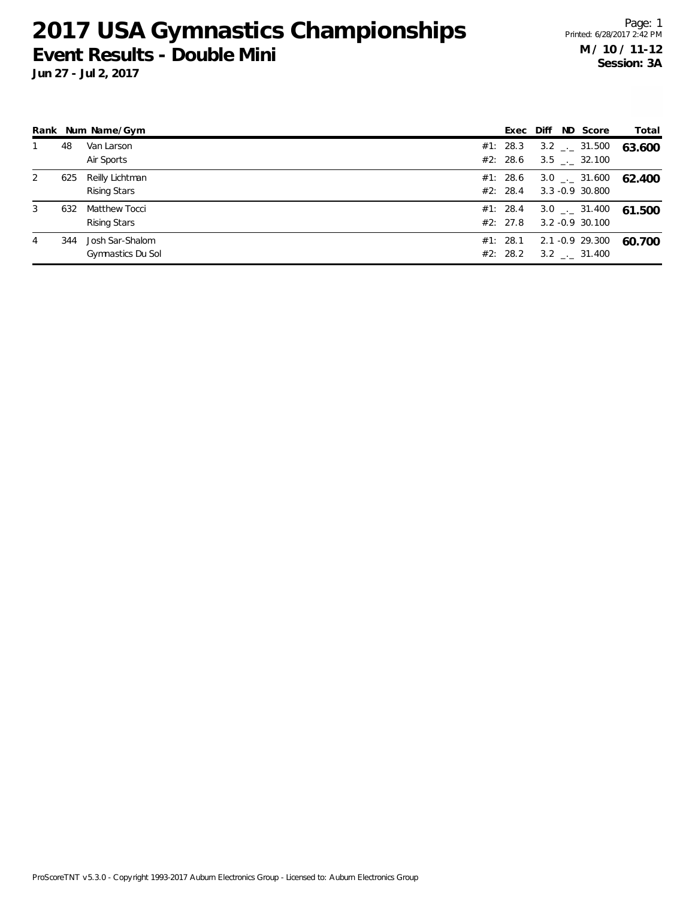**Jun 27 - Jul 2, 2017**

Page: 1 Printed: 6/28/2017 2:42 PM **M / 10 / 11-12 Session: 3A**

|   |     | Rank Num Name/Gym                    | Exec Diff            |  | ND Score                                           | Total  |
|---|-----|--------------------------------------|----------------------|--|----------------------------------------------------|--------|
|   | 48  | Van Larson                           | #1: 28.3<br>#2: 28.6 |  | $3.2$ $_{\leftarrow}$ 31.500                       | 63.600 |
|   |     | Air Sports                           |                      |  | $3.5$ $-.$ 32.100                                  |        |
| 2 | 625 | Reilly Lichtman<br>Rising Stars      | #1: 28.6<br>#2: 28.4 |  | $3.0$ $_{\leftarrow}$ 31.600<br>3.3 -0.9 30.800    | 62.400 |
| 3 | 632 | Matthew Tocci<br>Rising Stars        | #1: 28.4<br>#2: 27.8 |  | $3.0$ $_{\leftarrow}$ 31.400<br>$3.2 - 0.9$ 30.100 | 61.500 |
| 4 | 344 | Josh Sar-Shalom<br>Gymnastics Du Sol | #1: 28.1<br>#2: 28.2 |  | 2.1 -0.9 29.300<br>$3.2$ $_{\leftarrow}$ 31.400    | 60.700 |

ProScoreTNT v5.3.0 - Copyright 1993-2017 Auburn Electronics Group - Licensed to: Auburn Electronics Group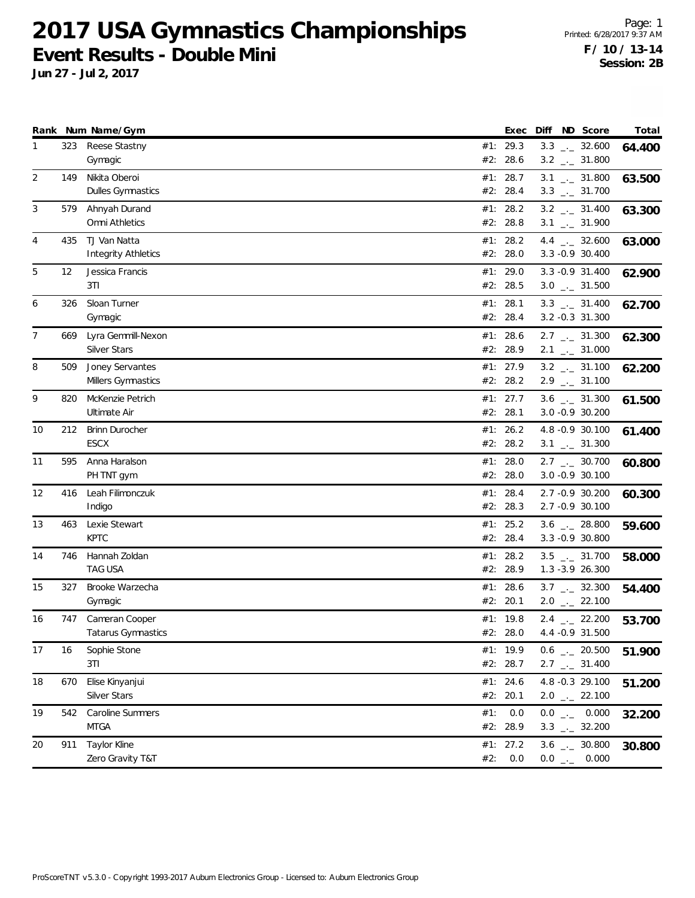**Jun 27 - Jul 2, 2017**

Page: 1 Printed: 6/28/2017 9:37 AM **F / 10 / 13-14 Session: 2B**

|    |     | Rank Num Name/Gym          | Exec       | Diff ND Score                | Total  |
|----|-----|----------------------------|------------|------------------------------|--------|
| 1  | 323 | Reese Stastny              | #1: 29.3   | $3.3$ $_{\leftarrow}$ 32.600 | 64.400 |
|    |     | Gymagic                    | #2: 28.6   | $3.2$ $_{\leftarrow}$ 31.800 |        |
| 2  | 149 | Nikita Oberoi              | #1: 28.7   | $3.1$ $_{-1}$ 31.800         | 63.500 |
|    |     | <b>Dulles Gymnastics</b>   | #2: 28.4   | $3.3$ $_{\leftarrow}$ 31.700 |        |
| 3  | 579 | Ahnyah Durand              | #1: 28.2   | $3.2$ $_{--}$ 31.400         | 63.300 |
|    |     | Omni Athletics             | #2: 28.8   | $3.1$ $_{-1}$ 31.900         |        |
| 4  | 435 | TJ Van Natta               | #1: 28.2   | 4.4 $_{\leftarrow}$ 32.600   | 63.000 |
|    |     | <b>Integrity Athletics</b> | #2: 28.0   | 3.3 - 0.9 30.400             |        |
| 5  | 12  | Jessica Francis            | #1: 29.0   | 3.3 - 0.9 31.400             | 62.900 |
|    |     | 3TI                        | #2: 28.5   | $3.0$ $_{\leftarrow}$ 31.500 |        |
| 6  | 326 | Sloan Turner               | #1: 28.1   | $3.3$ $-2$ 31.400            | 62.700 |
|    |     | Gymagic                    | #2: 28.4   | 3.2 -0.3 31.300              |        |
| 7  | 669 | Lyra Gemmill-Nexon         | #1: 28.6   | $2.7$ $_{\leftarrow}$ 31.300 | 62.300 |
|    |     | <b>Silver Stars</b>        | #2: 28.9   | $2.1$ $_{\leftarrow}$ 31.000 |        |
| 8  | 509 | Joney Servantes            | #1: 27.9   | $3.2$ $_{-}$ 31.100          | 62.200 |
|    |     | Millers Gymnastics         | #2: 28.2   | $2.9$ $_{\leftarrow}$ 31.100 |        |
| 9  | 820 | McKenzie Petrich           | #1: 27.7   | $3.6$ $_{-1}$ 31.300         | 61.500 |
|    |     | Ultimate Air               | #2: 28.1   | 3.0 -0.9 30.200              |        |
| 10 | 212 | <b>Brinn Durocher</b>      | #1: 26.2   | 4.8 -0.9 30.100              | 61.400 |
|    |     | <b>ESCX</b>                | #2: 28.2   | $3.1$ $_{-1}$ $31.300$       |        |
| 11 | 595 | Anna Haralson              | #1: $28.0$ | $2.7$ $_{\leftarrow}$ 30.700 | 60.800 |
|    |     | PH TNT gym                 | #2: 28.0   | 3.0 -0.9 30.100              |        |
| 12 | 416 | Leah Filimonczuk           | #1: 28.4   | 2.7 -0.9 30.200              | 60.300 |
|    |     | Indigo                     | #2: 28.3   | 2.7 -0.9 30.100              |        |
| 13 | 463 | Lexie Stewart              | #1: 25.2   | $3.6$ $_{\leftarrow}$ 28.800 | 59.600 |
|    |     | <b>KPTC</b>                | #2: 28.4   | 3.3 - 0.9 30.800             |        |
| 14 | 746 | Hannah Zoldan              | #1: 28.2   | $3.5$ $_{\leftarrow}$ 31.700 | 58.000 |
|    |     | <b>TAG USA</b>             | #2: 28.9   | 1.3 -3.9 26.300              |        |
| 15 | 327 | Brooke Warzecha            | #1: 28.6   | $3.7$ $_{-1}$ 32.300         | 54.400 |
|    |     | Gymagic                    | #2: 20.1   | $2.0$ $_{\leftarrow}$ 22.100 |        |
| 16 | 747 | Cameran Cooper             | #1: 19.8   | $2.4$ $_{-}$ 22.200          | 53.700 |
|    |     | Tatarus Gymnastics         | #2: 28.0   | 4.4 - 0.9 31.500             |        |
| 17 | 16  | Sophie Stone               | #1: 19.9   | $0.6$ - 20.500               | 51.900 |
|    |     | 3T1                        | #2: 28.7   | $2.7$ $_{\leftarrow}$ 31.400 |        |
| 18 | 670 | Elise Kinyanjui            | #1: 24.6   | 4.8 -0.3 29.100              | 51.200 |
|    |     | <b>Silver Stars</b>        | #2: 20.1   | $2.0$ _ 22.100               |        |
| 19 | 542 | Caroline Summers           | #1: 0.0    | $0.0$ __ 0.000               | 32.200 |
|    |     | <b>MTGA</b>                | #2: 28.9   | $3.3$ $_{-1}$ 32.200         |        |
| 20 | 911 | Taylor Kline               | #1: 27.2   | $3.6$ _ 30.800               |        |
|    |     | Zero Gravity T&T           | #2: 0.0    | $0.0$ _ 0.000                | 30.800 |
|    |     |                            |            |                              |        |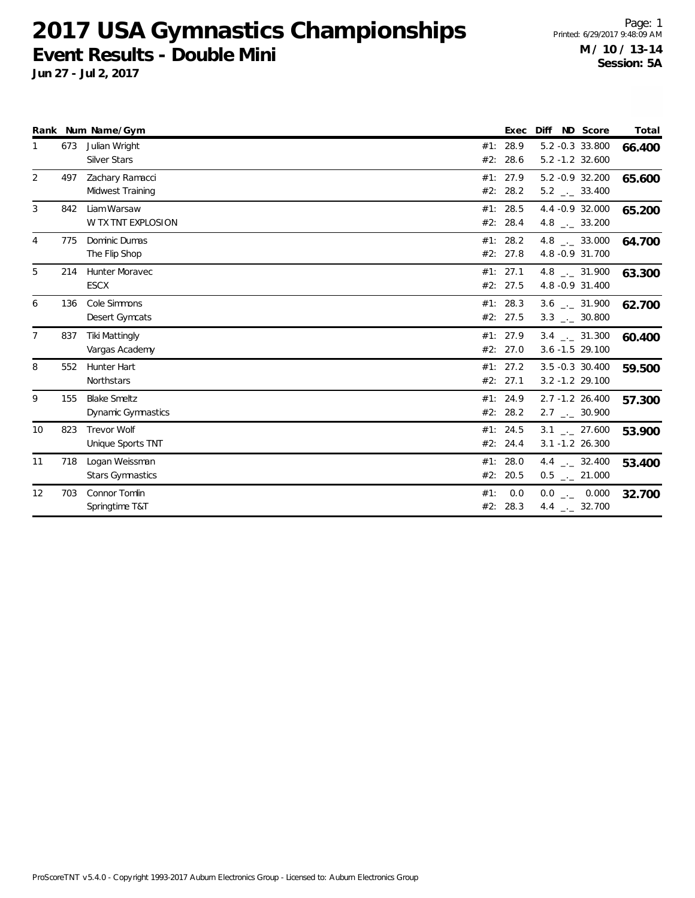**Jun 27 - Jul 2, 2017**

Page: 1 Printed: 6/29/2017 9:48:09 AM **M / 10 / 13-14 Session: 5A**

|    |     | Rank Num Name/Gym        |     | Exec     | Diff                         | ND Score | Total  |
|----|-----|--------------------------|-----|----------|------------------------------|----------|--------|
|    | 673 | Julian Wright            |     | #1: 28.9 | 5.2 -0.3 33.800              |          | 66.400 |
|    |     | <b>Silver Stars</b>      |     | #2: 28.6 | $5.2 - 1.2$ 32.600           |          |        |
| 2  | 497 | Zachary Ramacci          |     | #1: 27.9 | 5.2 -0.9 32.200              |          | 65.600 |
|    |     | Midwest Training         |     | #2: 28.2 | $5.2$ _ $-$ 33.400           |          |        |
| 3  | 842 | Liam Warsaw              |     | #1: 28.5 | 4.4 -0.9 32.000              |          | 65.200 |
|    |     | W TX TNT EXPLOSION       |     | #2: 28.4 | 4.8 $_{\leftarrow}$ 33.200   |          |        |
| 4  | 775 | Dominic Dumas            |     | #1: 28.2 | 4.8 $_{-}$ 33.000            |          | 64.700 |
|    |     | The Flip Shop            |     | #2: 27.8 | 4.8 - 0.9 31.700             |          |        |
| 5  | 214 | Hunter Moravec           |     | #1: 27.1 | 4.8 $\frac{1}{2}$ 31.900     |          | 63.300 |
|    |     | <b>ESCX</b>              |     | #2: 27.5 | 4.8 -0.9 31.400              |          |        |
| 6  | 136 | Cole Simmons             |     | #1: 28.3 | $3.6$ _._ 31.900             |          | 62.700 |
|    |     | Desert Gymcats           |     | #2: 27.5 | $3.3$ $_{\leftarrow}$ 30.800 |          |        |
| 7  | 837 | <b>Tiki Mattingly</b>    |     | #1: 27.9 | $3.4$ $_{-1}$ $-$ 31.300     |          | 60.400 |
|    |     | Vargas Academy           |     | #2: 27.0 | $3.6 - 1.5$ 29.100           |          |        |
| 8  | 552 | <b>Hunter Hart</b>       |     | #1: 27.2 | $3.5 - 0.3$ 30.400           |          | 59.500 |
|    |     | Northstars               |     | #2: 27.1 | $3.2 - 1.2$ 29.100           |          |        |
| 9  | 155 | <b>Blake Smeltz</b>      |     | #1: 24.9 | 2.7 -1.2 26.400              |          | 57.300 |
|    |     | Dynamic Gymnastics       |     | #2: 28.2 | $2.7$ $_{\leftarrow}$ 30.900 |          |        |
| 10 | 823 | Trevor Wolf              |     | #1: 24.5 | $3.1$ _._ 27.600             |          | 53.900 |
|    |     | <b>Unique Sports TNT</b> |     | #2: 24.4 | 3.1 -1.2 26.300              |          |        |
| 11 | 718 | Logan Weissman           |     | #1: 28.0 | 4.4 $\qquad$ 32.400          |          | 53.400 |
|    |     | <b>Stars Gymnastics</b>  |     | #2: 20.5 | $0.5$ $_{-}$ 21.000          |          |        |
| 12 | 703 | Connor Tomlin            | #1: | 0.0      | $0.0$ _._ 0.000              |          | 32.700 |
|    |     | Springtime T&T           |     | #2: 28.3 | 4.4 $_{\leftarrow}$ 32.700   |          |        |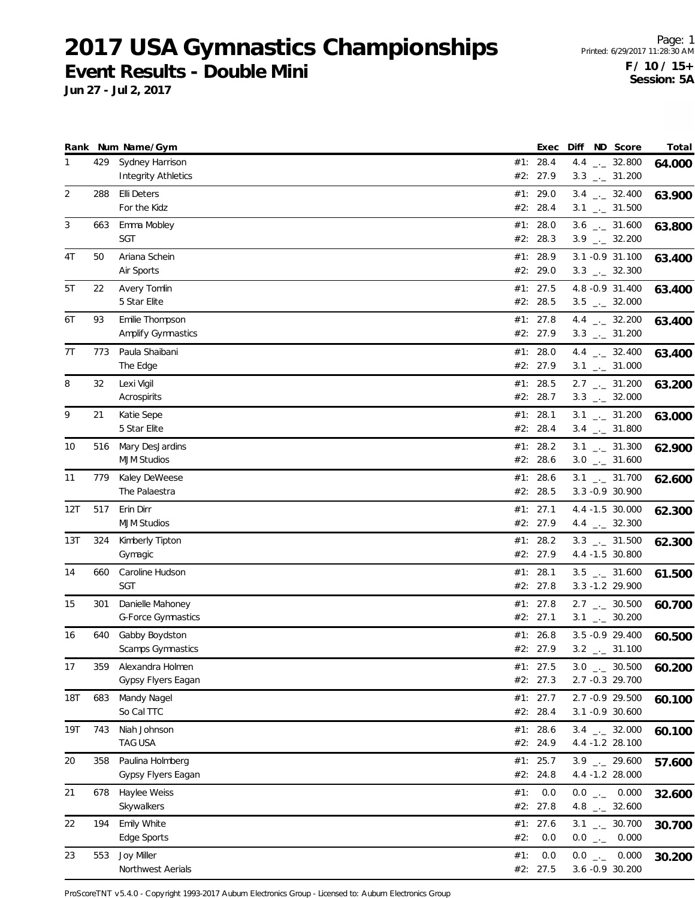Page: 1 Printed: 6/29/2017 11:28:30 AM **F / 10 / 15+ Session: 5A**

**Jun 27 - Jul 2, 2017**

|            |     | Rank Num Name/Gym                             |     | Exec                   |              | Diff ND Score                                              | Total  |
|------------|-----|-----------------------------------------------|-----|------------------------|--------------|------------------------------------------------------------|--------|
| 1          | 429 | Sydney Harrison<br><b>Integrity Athletics</b> |     | #1: 28.4<br>#2: 27.9   |              | 4.4 $_{\leftarrow}$ 32.800<br>$3.3$ _._ 31.200             | 64.000 |
| 2          | 288 | <b>Elli Deters</b><br>For the Kidz            |     | #1: 29.0<br>#2: 28.4   |              | $3.4$ - 32.400<br>$3.1$ $_{\leftarrow}$ 31.500             | 63.900 |
| 3          | 663 | Emma Mobley<br><b>SGT</b>                     |     | #1: 28.0<br>#2: 28.3   |              | $3.6$ _ $-31.600$<br>$3.9$ $_{-1}$ 32.200                  | 63.800 |
| 4T         | 50  | Ariana Schein<br>Air Sports                   |     | #1: 28.9<br>#2: 29.0   |              | 3.1 - 0.9 31.100<br>$3.3$ $_{\leftarrow}$ 32.300           | 63.400 |
| 5T         | 22  | Avery Tomlin<br>5 Star Elite                  |     | #1: 27.5<br>#2: 28.5   |              | 4.8 -0.9 31.400<br>$3.5$ $_{-}$ 32.000                     | 63.400 |
| 6T         | 93  | Emilie Thompson<br>Amplify Gymnastics         |     | #1: 27.8<br>#2: 27.9   |              | 4.4 $_{\leftarrow}$ 32.200<br>$3.3$ $_{\leftarrow}$ 31.200 | 63.400 |
| 7T         | 773 | Paula Shaibani<br>The Edge                    |     | #1: $28.0$<br>#2: 27.9 |              | 4.4 $\frac{1}{2}$ 32.400<br>$3.1$ $_{-1}$ 31.000           | 63.400 |
| 8          | 32  | Lexi Vigil<br>Acrospirits                     |     | #1: 28.5<br>#2: 28.7   |              | $2.7$ $_{-}$ 31.200<br>$3.3$ $_{\leftarrow}$ 32.000        | 63.200 |
| 9          | 21  | Katie Sepe<br>5 Star Elite                    |     | #1: 28.1<br>#2: 28.4   |              | $3.1$ $_{-1}$ $31.200$<br>$3.4$ $_{-}$ 31.800              | 63.000 |
| 10         | 516 | Mary DesJardins<br><b>MJM Studios</b>         |     | #1: 28.2<br>#2: 28.6   |              | $3.1$ $_{-}$ 31.300<br>$3.0$ _ 31.600                      | 62.900 |
| 11         | 779 | Kaley DeWeese<br>The Palaestra                |     | #1: 28.6<br>#2: 28.5   |              | $3.1$ $_{\leftarrow}$ 31.700<br>3.3 -0.9 30.900            | 62.600 |
| 12T        | 517 | Erin Dirr<br><b>MJM Studios</b>               | #1: | 27.1<br>#2: 27.9       |              | 4.4 -1.5 30.000<br>4.4 $_{\leftarrow}$ 32.300              | 62.300 |
| 13T        | 324 | Kimberly Tipton<br>Gymagic                    |     | #1: 28.2<br>#2: 27.9   |              | $3.3$ $_{\leftarrow}$ 31.500<br>4.4 -1.5 30.800            | 62.300 |
| 14         | 660 | Caroline Hudson<br><b>SGT</b>                 |     | #1: 28.1<br>#2: 27.8   |              | $3.5$ $_{\leftarrow}$ 31.600<br>3.3 -1.2 29.900            | 61.500 |
| 15         | 301 | Danielle Mahoney<br>G-Force Gymnastics        |     | #1: 27.8<br>#2: 27.1   |              | $2.7$ $_{\leftarrow}$ 30.500<br>$3.1$ $_{-1}$ 30.200       | 60.700 |
| 16         | 640 | Gabby Boydston<br>Scamps Gymnastics           |     | #1: 26.8<br>#2: 27.9   |              | 3.5 - 0.9 29.400<br>$3.2$ __ 31.100                        | 60.500 |
| 17         | 359 | Alexandra Holmen<br>Gypsy Flyers Eagan        |     | #1: 27.5<br>#2: 27.3   |              | $3.0$ _ $-30.500$<br>2.7 -0.3 29.700                       | 60.200 |
| <b>18T</b> | 683 | Mandy Nagel<br>So Cal TTC                     |     | #1: 27.7<br>#2: 28.4   |              | 2.7 -0.9 29.500<br>3.1 -0.9 30.600                         | 60.100 |
| 19T        | 743 | Niah Johnson<br>TAG USA                       |     | #1: 28.6<br>#2: 24.9   |              | $3.4$ $_{\leftarrow}$ 32.000<br>4.4 -1.2 28.100            | 60.100 |
| 20         | 358 | Paulina Holmberg<br>Gypsy Flyers Eagan        |     | #1: 25.7<br>#2: 24.8   |              | $3.9$ $-29.600$<br>4.4 -1.2 28.000                         | 57.600 |
| 21         | 678 | Haylee Weiss<br>Skywalkers                    | #1: | 0.0<br>#2: 27.8        |              | $0.0$ _ 0.000<br>4.8 $\frac{1}{2}$ 32.600                  | 32.600 |
| 22         | 194 | Emily White<br>Edge Sports                    | #2: | #1: 27.6<br>0.0        | $0.0$ $_{-}$ | $3.1$ $_{-1}$ 30.700<br>0.000                              | 30.700 |
| 23         | 553 | Joy Miller<br>Northwest Aerials               | #1: | 0.0<br>#2: 27.5        |              | $0.0$ _ 0.000<br>3.6 -0.9 30.200                           | 30.200 |

ProScoreTNT v5.4.0 - Copyright 1993-2017 Auburn Electronics Group - Licensed to: Auburn Electronics Group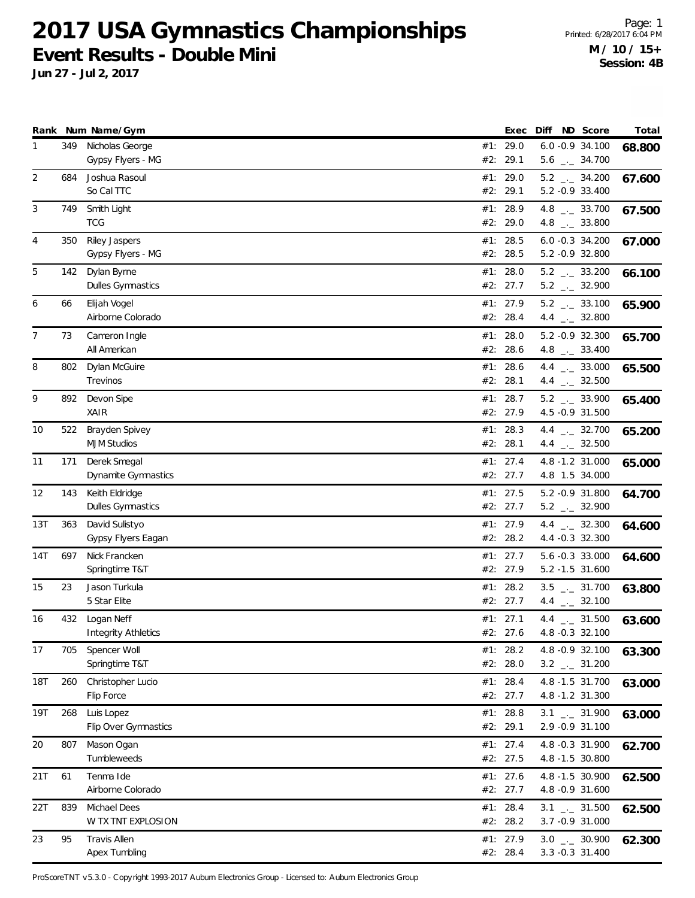**Jun 27 - Jul 2, 2017**

|                |     | Rank Num Name/Gym                         | Exec                   | Diff | ND Score                                             | Total  |
|----------------|-----|-------------------------------------------|------------------------|------|------------------------------------------------------|--------|
| $\mathbf{1}$   | 349 | Nicholas George<br>Gypsy Flyers - MG      | #1: 29.0<br>#2: 29.1   |      | 6.0 -0.9 34.100<br>$5.6$ $_{\leftarrow}$ 34.700      | 68.800 |
| 2              | 684 | Joshua Rasoul<br>So Cal TTC               | #1: 29.0<br>#2: 29.1   |      | $5.2$ _ $-34.200$<br>5.2 -0.9 33.400                 | 67.600 |
| 3              | 749 | Smith Light<br><b>TCG</b>                 | #1: 28.9<br>#2: 29.0   |      | 4.8 $_{-}$ 33.700<br>4.8 $_{\leftarrow}$ 33.800      | 67.500 |
| 4              | 350 | <b>Riley Jaspers</b><br>Gypsy Flyers - MG | #1: 28.5<br>#2: 28.5   |      | $6.0 -0.3$ 34.200<br>5.2 -0.9 32.800                 | 67.000 |
| 5              | 142 | Dylan Byrne<br>Dulles Gymnastics          | #1: 28.0<br>#2: 27.7   |      | $5.2$ _ $-33.200$<br>$5.2$ $_{\leftarrow}$ 32.900    | 66.100 |
| 6              | 66  | Elijah Vogel<br>Airborne Colorado         | #1: 27.9<br>#2: 28.4   |      | $5.2$ _ $2$ 33.100<br>4.4 $\frac{1}{2}$ 32.800       | 65.900 |
| $\overline{7}$ | 73  | Cameron Ingle<br>All American             | #1: 28.0<br>#2: 28.6   |      | 5.2 -0.9 32.300<br>4.8 $_{\leftarrow}$ 33.400        | 65.700 |
| 8              | 802 | Dylan McGuire<br>Trevinos                 | #1: 28.6<br>#2: 28.1   |      | 4.4 $\frac{1}{2}$ 33.000<br>4.4 $\frac{1}{2}$ 32.500 | 65.500 |
| 9              | 892 | Devon Sipe<br>XAIR                        | #1: 28.7<br>#2: 27.9   |      | $5.2$ _ 33.900<br>4.5 -0.9 31.500                    | 65.400 |
| 10             | 522 | Brayden Spivey<br><b>MJM Studios</b>      | #1: 28.3<br>#2: 28.1   |      | 4.4 $\frac{1}{2}$ 32.700<br>4.4 $\frac{1}{2}$ 32.500 | 65.200 |
| 11             | 171 | Derek Smegal<br>Dynamite Gymnastics       | #1: 27.4<br>#2: 27.7   |      | 4.8 -1.2 31.000<br>4.8 1.5 34.000                    | 65.000 |
| 12             | 143 | Keith Eldridge<br>Dulles Gymnastics       | #1: $27.5$<br>#2: 27.7 |      | 5.2 -0.9 31.800<br>$5.2$ _ $-32.900$                 | 64.700 |
| 13T            | 363 | David Sulistyo<br>Gypsy Flyers Eagan      | #1: 27.9<br>#2: 28.2   |      | 4.4 $\qquad$ 32.300<br>4.4 -0.3 32.300               | 64.600 |
| 14T            | 697 | Nick Francken<br>Springtime T&T           | #1: $27.7$<br>#2: 27.9 |      | 5.6 -0.3 33.000<br>5.2 -1.5 31.600                   | 64.600 |
| 15             | 23  | Jason Turkula<br>5 Star Elite             | #1: 28.2<br>#2: 27.7   |      | $3.5$ $_{-1}$ 31.700<br>4.4 $\qquad$ 32.100          | 63.800 |
| 16             | 432 | Logan Neff<br><b>Integrity Athletics</b>  | #1: 27.1<br>#2: 27.6   |      | 4.4 $\frac{1}{2}$ 31.500<br>4.8 -0.3 32.100          | 63.600 |
| 17             | 705 | Spencer Woll<br>Springtime T&T            | #1: $28.2$<br>#2: 28.0 |      | 4.8 -0.9 32.100<br>$3.2$ _ $-31.200$                 | 63.300 |
| 18T            | 260 | Christopher Lucio<br>Flip Force           | #1: 28.4<br>#2: 27.7   |      | 4.8 -1.5 31.700<br>4.8 -1.2 31.300                   | 63.000 |
| 19T            | 268 | Luis Lopez<br>Flip Over Gymnastics        | #1: 28.8<br>#2: 29.1   |      | $3.1$ $_{-1}$ 31.900<br>2.9 - 0.9 31.100             | 63.000 |
| 20             | 807 | Mason Ogan<br>Tumbleweeds                 | #1: 27.4<br>#2: 27.5   |      | 4.8 -0.3 31.900<br>4.8 -1.5 30.800                   | 62.700 |
| 21T            | 61  | Tenma Ide<br>Airborne Colorado            | #1: $27.6$<br>#2: 27.7 |      | 4.8 -1.5 30.900<br>4.8 -0.9 31.600                   | 62.500 |
| 22T            | 839 | Michael Dees<br>W TX TNT EXPLOSION        | #1: 28.4<br>#2: 28.2   |      | $3.1$ $_{-1}$ 31.500<br>3.7 -0.9 31.000              | 62.500 |
| 23             | 95  | Travis Allen<br>Apex Tumbling             | #1: 27.9<br>#2: 28.4   |      | $3.0$ $_{-1}$ 30.900<br>3.3 -0.3 31.400              | 62.300 |

ProScoreTNT v5.3.0 - Copyright 1993-2017 Auburn Electronics Group - Licensed to: Auburn Electronics Group